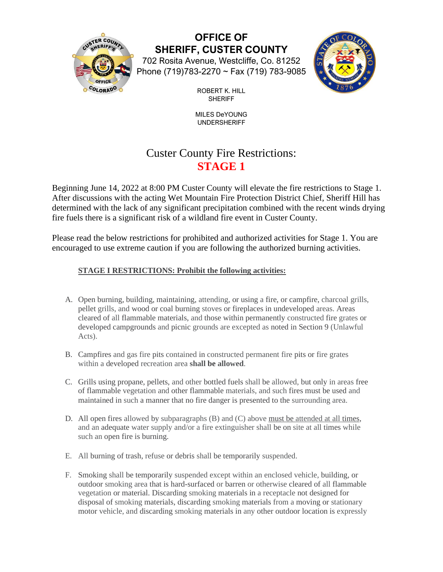

**OFFICE OF SHERIFF, CUSTER COUNTY** 702 Rosita Avenue, Westcliffe, Co. 81252

Phone (719)783-2270 ~ Fax (719) 783-9085



ROBERT K. HILL SHERIFF

MILES DeYOUNG UNDERSHERIFF

# Custer County Fire Restrictions: **STAGE 1**

Beginning June 14, 2022 at 8:00 PM Custer County will elevate the fire restrictions to Stage 1. After discussions with the acting Wet Mountain Fire Protection District Chief, Sheriff Hill has determined with the lack of any significant precipitation combined with the recent winds drying fire fuels there is a significant risk of a wildland fire event in Custer County.

Please read the below restrictions for prohibited and authorized activities for Stage 1. You are encouraged to use extreme caution if you are following the authorized burning activities.

## **STAGE I RESTRICTIONS: Prohibit the following activities:**

- A. Open burning, building, maintaining, attending, or using a fire, or campfire, charcoal grills, pellet grills, and wood or coal burning stoves or fireplaces in undeveloped areas. Areas cleared of all flammable materials, and those within permanently constructed fire grates or developed campgrounds and picnic grounds are excepted as noted in Section 9 (Unlawful Acts).
- B. Campfires and gas fire pits contained in constructed permanent fire pits or fire grates within a developed recreation area **shall be allowed**.
- C. Grills using propane, pellets, and other bottled fuels shall be allowed, but only in areas free of flammable vegetation and other flammable materials, and such fires must be used and maintained in such a manner that no fire danger is presented to the surrounding area.
- D. All open fires allowed by subparagraphs (B) and (C) above must be attended at all times, and an adequate water supply and/or a fire extinguisher shall be on site at all times while such an open fire is burning.
- E. All burning of trash, refuse or debris shall be temporarily suspended.
- F. Smoking shall be temporarily suspended except within an enclosed vehicle, building, or outdoor smoking area that is hard-surfaced or barren or otherwise cleared of all flammable vegetation or material. Discarding smoking materials in a receptacle not designed for disposal of smoking materials, discarding smoking materials from a moving or stationary motor vehicle, and discarding smoking materials in any other outdoor location is expressly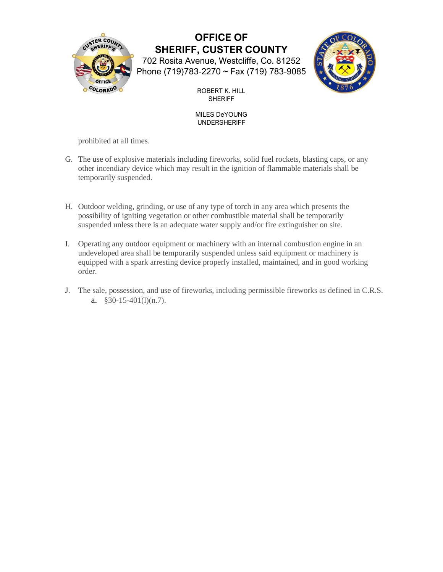

# **OFFICE OF SHERIFF, CUSTER COUNTY** 702 Rosita Avenue, Westcliffe, Co. 81252

Phone (719)783-2270 ~ Fax (719) 783-9085



ROBERT K. HILL SHERIFF

#### MILES DeYOUNG UNDERSHERIFF

prohibited at all times.

- G. The use of explosive materials including fireworks, solid fuel rockets, blasting caps, or any other incendiary device which may result in the ignition of flammable materials shall be temporarily suspended.
- H. Outdoor welding, grinding, or use of any type of torch in any area which presents the possibility of igniting vegetation or other combustible material shall be temporarily suspended unless there is an adequate water supply and/or fire extinguisher on site.
- I. Operating any outdoor equipment or machinery with an internal combustion engine in an undeveloped area shall be temporarily suspended unless said equipment or machinery is equipped with a spark arresting device properly installed, maintained, and in good working order.
- J. The sale, possession, and use of fireworks, including permissible fireworks as defined in C.R.S. a.  $§30-15-401(1)(n.7)$ .